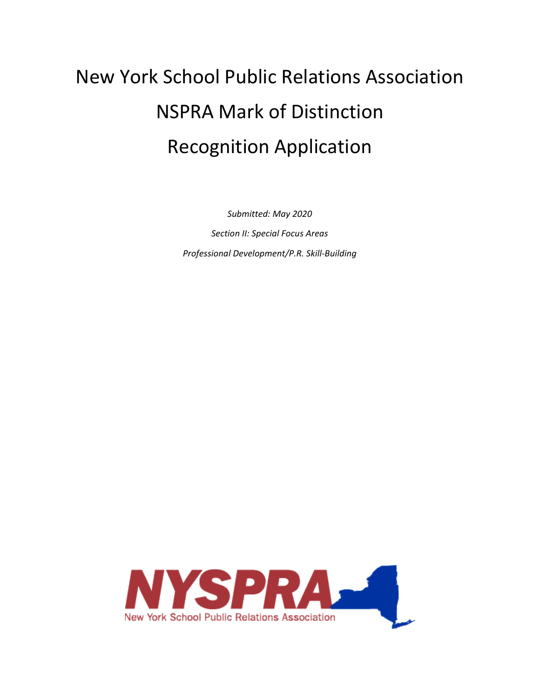# New York School Public Relations Association NSPRA Mark of Distinction Recognition Application

*Submitted: May 2020 Section II: Special Focus Areas Professional Development/P.R. Skill-Building*

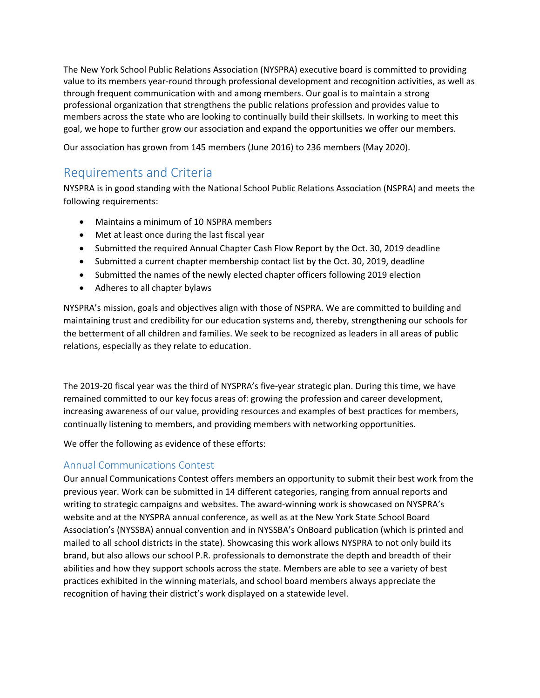The New York School Public Relations Association (NYSPRA) executive board is committed to providing value to its members year-round through professional development and recognition activities, as well as through frequent communication with and among members. Our goal is to maintain a strong professional organization that strengthens the public relations profession and provides value to members across the state who are looking to continually build their skillsets. In working to meet this goal, we hope to further grow our association and expand the opportunities we offer our members.

Our association has grown from 145 members (June 2016) to 236 members (May 2020).

# Requirements and Criteria

NYSPRA is in good standing with the National School Public Relations Association (NSPRA) and meets the following requirements:

- Maintains a minimum of 10 NSPRA members
- Met at least once during the last fiscal year
- Submitted the required Annual Chapter Cash Flow Report by the Oct. 30, 2019 deadline
- Submitted a current chapter membership contact list by the Oct. 30, 2019, deadline
- Submitted the names of the newly elected chapter officers following 2019 election
- Adheres to all chapter bylaws

NYSPRA's mission, goals and objectives align with those of NSPRA. We are committed to building and maintaining trust and credibility for our education systems and, thereby, strengthening our schools for the betterment of all children and families. We seek to be recognized as leaders in all areas of public relations, especially as they relate to education.

The 2019-20 fiscal year was the third of NYSPRA's five-year strategic plan. During this time, we have remained committed to our key focus areas of: growing the profession and career development, increasing awareness of our value, providing resources and examples of best practices for members, continually listening to members, and providing members with networking opportunities.

We offer the following as evidence of these efforts:

## Annual Communications Contest

Our annual Communications Contest offers members an opportunity to submit their best work from the previous year. Work can be submitted in 14 different categories, ranging from annual reports and writing to strategic campaigns and websites. The award-winning work is showcased on NYSPRA's website and at the NYSPRA annual conference, as well as at the New York State School Board Association's (NYSSBA) annual convention and in NYSSBA's OnBoard publication (which is printed and mailed to all school districts in the state). Showcasing this work allows NYSPRA to not only build its brand, but also allows our school P.R. professionals to demonstrate the depth and breadth of their abilities and how they support schools across the state. Members are able to see a variety of best practices exhibited in the winning materials, and school board members always appreciate the recognition of having their district's work displayed on a statewide level.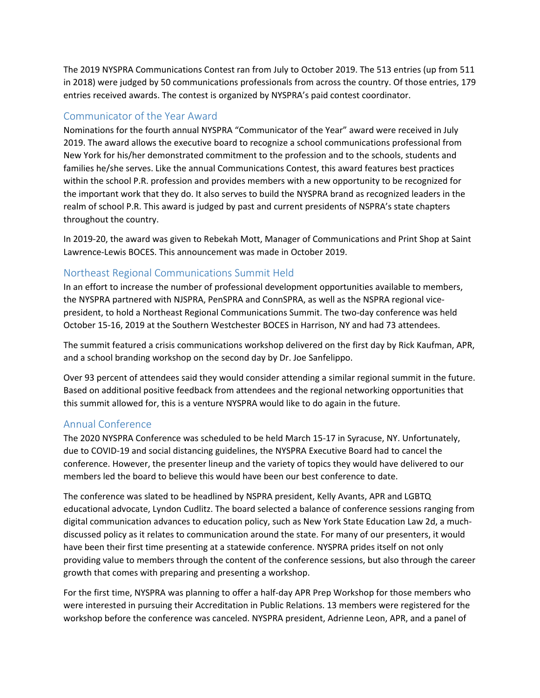The 2019 NYSPRA Communications Contest ran from July to October 2019. The 513 entries (up from 511 in 2018) were judged by 50 communications professionals from across the country. Of those entries, 179 entries received awards. The contest is organized by NYSPRA's paid contest coordinator.

#### Communicator of the Year Award

Nominations for the fourth annual NYSPRA "Communicator of the Year" award were received in July 2019. The award allows the executive board to recognize a school communications professional from New York for his/her demonstrated commitment to the profession and to the schools, students and families he/she serves. Like the annual Communications Contest, this award features best practices within the school P.R. profession and provides members with a new opportunity to be recognized for the important work that they do. It also serves to build the NYSPRA brand as recognized leaders in the realm of school P.R. This award is judged by past and current presidents of NSPRA's state chapters throughout the country.

In 2019-20, the award was given to Rebekah Mott, Manager of Communications and Print Shop at Saint Lawrence-Lewis BOCES. This announcement was made in October 2019.

## Northeast Regional Communications Summit Held

In an effort to increase the number of professional development opportunities available to members, the NYSPRA partnered with NJSPRA, PenSPRA and ConnSPRA, as well as the NSPRA regional vicepresident, to hold a Northeast Regional Communications Summit. The two-day conference was held October 15-16, 2019 at the Southern Westchester BOCES in Harrison, NY and had 73 attendees.

The summit featured a crisis communications workshop delivered on the first day by Rick Kaufman, APR, and a school branding workshop on the second day by Dr. Joe Sanfelippo.

Over 93 percent of attendees said they would consider attending a similar regional summit in the future. Based on additional positive feedback from attendees and the regional networking opportunities that this summit allowed for, this is a venture NYSPRA would like to do again in the future.

#### Annual Conference

The 2020 NYSPRA Conference was scheduled to be held March 15-17 in Syracuse, NY. Unfortunately, due to COVID-19 and social distancing guidelines, the NYSPRA Executive Board had to cancel the conference. However, the presenter lineup and the variety of topics they would have delivered to our members led the board to believe this would have been our best conference to date.

The conference was slated to be headlined by NSPRA president, Kelly Avants, APR and LGBTQ educational advocate, Lyndon Cudlitz. The board selected a balance of conference sessions ranging from digital communication advances to education policy, such as New York State Education Law 2d, a muchdiscussed policy as it relates to communication around the state. For many of our presenters, it would have been their first time presenting at a statewide conference. NYSPRA prides itself on not only providing value to members through the content of the conference sessions, but also through the career growth that comes with preparing and presenting a workshop.

For the first time, NYSPRA was planning to offer a half-day APR Prep Workshop for those members who were interested in pursuing their Accreditation in Public Relations. 13 members were registered for the workshop before the conference was canceled. NYSPRA president, Adrienne Leon, APR, and a panel of